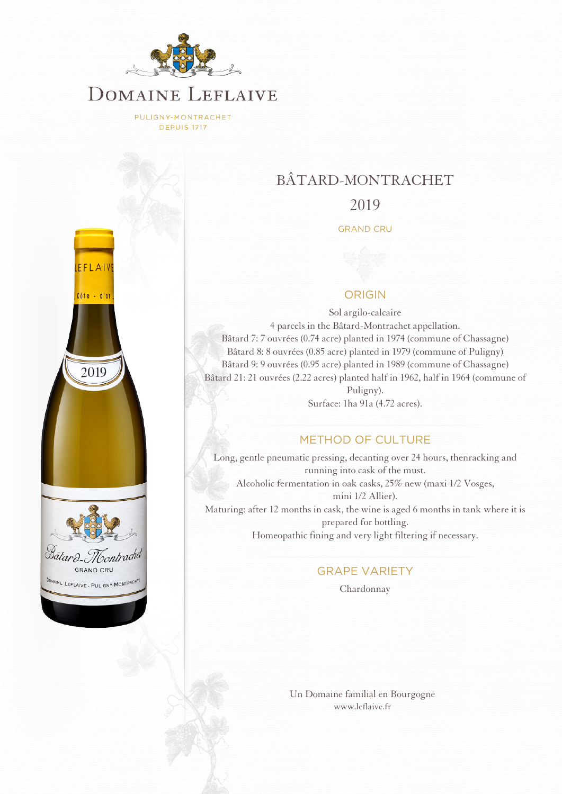

PULIGNY-MONTRACHET **DEPUIS 1717** 



# BÂTARD-MONTRACHET

## 2019

#### GRAND CRU

### ORIGIN

Sol argilo-calcaire 4 parcels in the Bâtard-Montrachet appellation. Bâtard 7: 7 ouvrées (0.74 acre) planted in 1974 (commune of Chassagne) Bâtard 8: 8 ouvrées (0.85 acre) planted in 1979 (commune of Puligny) Bâtard 9: 9 ouvrées (0.95 acre) planted in 1989 (commune of Chassagne) Bâtard 21: 21 ouvrées (2.22 acres) planted half in 1962, half in 1964 (commune of Puligny).

Surface: 1ha 91a (4.72 acres).

## METHOD OF CULTURE

Long, gentle pneumatic pressing, decanting over 24 hours, thenracking and running into cask of the must. Alcoholic fermentation in oak casks, 25% new (maxi 1/2 Vosges, mini 1/2 Allier). Maturing: after 12 months in cask, the wine is aged 6 months in tank where it is prepared for bottling. Homeopathic fining and very light filtering if necessary.

#### GRAPE VARIETY

Chardonnay

[Un Domaine familial en Bourgogne](http://www.leflaive.fr) [www.leflaive.fr](http://www.leflaive.fr)